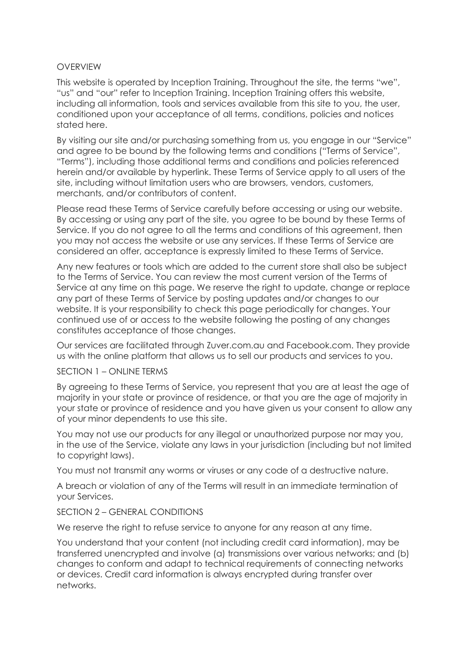# OVERVIEW

This website is operated by Inception Training. Throughout the site, the terms "we", "us" and "our" refer to Inception Training. Inception Training offers this website, including all information, tools and services available from this site to you, the user, conditioned upon your acceptance of all terms, conditions, policies and notices stated here.

By visiting our site and/or purchasing something from us, you engage in our "Service" and agree to be bound by the following terms and conditions ("Terms of Service", "Terms"), including those additional terms and conditions and policies referenced herein and/or available by hyperlink. These Terms of Service apply to all users of the site, including without limitation users who are browsers, vendors, customers, merchants, and/or contributors of content.

Please read these Terms of Service carefully before accessing or using our website. By accessing or using any part of the site, you agree to be bound by these Terms of Service. If you do not agree to all the terms and conditions of this agreement, then you may not access the website or use any services. If these Terms of Service are considered an offer, acceptance is expressly limited to these Terms of Service.

Any new features or tools which are added to the current store shall also be subject to the Terms of Service. You can review the most current version of the Terms of Service at any time on this page. We reserve the right to update, change or replace any part of these Terms of Service by posting updates and/or changes to our website. It is your responsibility to check this page periodically for changes. Your continued use of or access to the website following the posting of any changes constitutes acceptance of those changes.

Our services are facilitated through Zuver.com.au and Facebook.com. They provide us with the online platform that allows us to sell our products and services to you.

### SECTION 1 – ONLINE TERMS

By agreeing to these Terms of Service, you represent that you are at least the age of majority in your state or province of residence, or that you are the age of majority in your state or province of residence and you have given us your consent to allow any of your minor dependents to use this site.

You may not use our products for any illegal or unauthorized purpose nor may you, in the use of the Service, violate any laws in your jurisdiction (including but not limited to copyright laws).

You must not transmit any worms or viruses or any code of a destructive nature.

A breach or violation of any of the Terms will result in an immediate termination of your Services.

### SECTION 2 – GENERAL CONDITIONS

We reserve the right to refuse service to anyone for any reason at any time.

You understand that your content (not including credit card information), may be transferred unencrypted and involve (a) transmissions over various networks; and (b) changes to conform and adapt to technical requirements of connecting networks or devices. Credit card information is always encrypted during transfer over networks.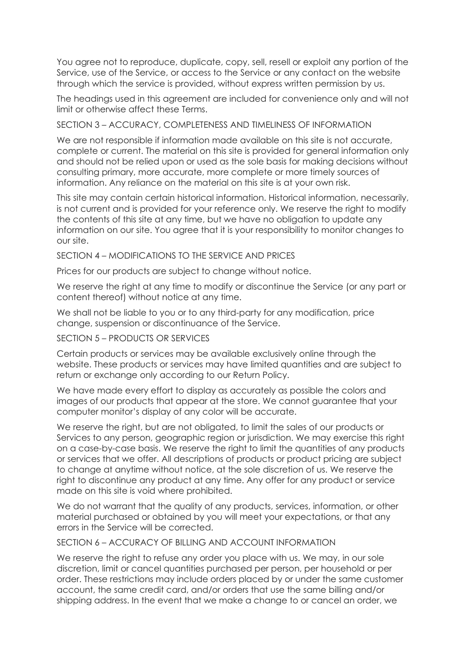You agree not to reproduce, duplicate, copy, sell, resell or exploit any portion of the Service, use of the Service, or access to the Service or any contact on the website through which the service is provided, without express written permission by us.

The headings used in this agreement are included for convenience only and will not limit or otherwise affect these Terms.

SECTION 3 – ACCURACY, COMPLETENESS AND TIMELINESS OF INFORMATION

We are not responsible if information made available on this site is not accurate, complete or current. The material on this site is provided for general information only and should not be relied upon or used as the sole basis for making decisions without consulting primary, more accurate, more complete or more timely sources of information. Any reliance on the material on this site is at your own risk.

This site may contain certain historical information. Historical information, necessarily, is not current and is provided for your reference only. We reserve the right to modify the contents of this site at any time, but we have no obligation to update any information on our site. You agree that it is your responsibility to monitor changes to our site.

SECTION 4 – MODIFICATIONS TO THE SERVICE AND PRICES

Prices for our products are subject to change without notice.

We reserve the right at any time to modify or discontinue the Service (or any part or content thereof) without notice at any time.

We shall not be liable to you or to any third-party for any modification, price change, suspension or discontinuance of the Service.

#### SECTION 5 – PRODUCTS OR SERVICES

Certain products or services may be available exclusively online through the website. These products or services may have limited quantities and are subject to return or exchange only according to our Return Policy.

We have made every effort to display as accurately as possible the colors and images of our products that appear at the store. We cannot guarantee that your computer monitor's display of any color will be accurate.

We reserve the right, but are not obligated, to limit the sales of our products or Services to any person, geographic region or jurisdiction. We may exercise this right on a case-by-case basis. We reserve the right to limit the quantities of any products or services that we offer. All descriptions of products or product pricing are subject to change at anytime without notice, at the sole discretion of us. We reserve the right to discontinue any product at any time. Any offer for any product or service made on this site is void where prohibited.

We do not warrant that the quality of any products, services, information, or other material purchased or obtained by you will meet your expectations, or that any errors in the Service will be corrected.

## SECTION 6 – ACCURACY OF BILLING AND ACCOUNT INFORMATION

We reserve the right to refuse any order you place with us. We may, in our sole discretion, limit or cancel quantities purchased per person, per household or per order. These restrictions may include orders placed by or under the same customer account, the same credit card, and/or orders that use the same billing and/or shipping address. In the event that we make a change to or cancel an order, we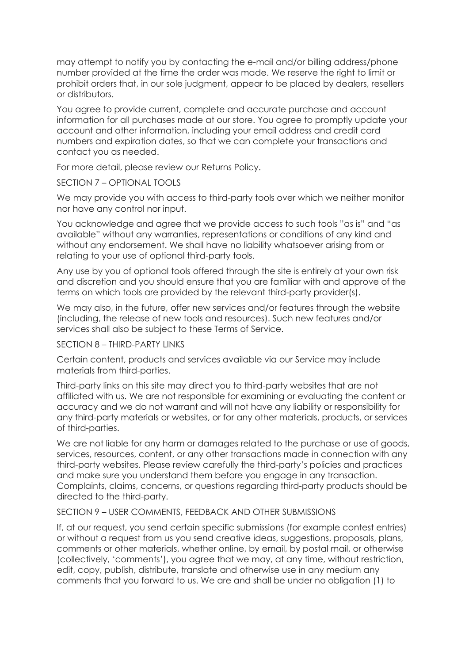may attempt to notify you by contacting the e-mail and/or billing address/phone number provided at the time the order was made. We reserve the right to limit or prohibit orders that, in our sole judgment, appear to be placed by dealers, resellers or distributors.

You agree to provide current, complete and accurate purchase and account information for all purchases made at our store. You agree to promptly update your account and other information, including your email address and credit card numbers and expiration dates, so that we can complete your transactions and contact you as needed.

For more detail, please review our Returns Policy.

SECTION 7 – OPTIONAL TOOLS

We may provide you with access to third-party tools over which we neither monitor nor have any control nor input.

You acknowledge and agree that we provide access to such tools "as is" and "as available" without any warranties, representations or conditions of any kind and without any endorsement. We shall have no liability whatsoever arising from or relating to your use of optional third-party tools.

Any use by you of optional tools offered through the site is entirely at your own risk and discretion and you should ensure that you are familiar with and approve of the terms on which tools are provided by the relevant third-party provider(s).

We may also, in the future, offer new services and/or features through the website (including, the release of new tools and resources). Such new features and/or services shall also be subject to these Terms of Service.

SECTION 8 – THIRD-PARTY LINKS

Certain content, products and services available via our Service may include materials from third-parties.

Third-party links on this site may direct you to third-party websites that are not affiliated with us. We are not responsible for examining or evaluating the content or accuracy and we do not warrant and will not have any liability or responsibility for any third-party materials or websites, or for any other materials, products, or services of third-parties.

We are not liable for any harm or damages related to the purchase or use of goods, services, resources, content, or any other transactions made in connection with any third-party websites. Please review carefully the third-party's policies and practices and make sure you understand them before you engage in any transaction. Complaints, claims, concerns, or questions regarding third-party products should be directed to the third-party.

# SECTION 9 – USER COMMENTS, FEEDBACK AND OTHER SUBMISSIONS

If, at our request, you send certain specific submissions (for example contest entries) or without a request from us you send creative ideas, suggestions, proposals, plans, comments or other materials, whether online, by email, by postal mail, or otherwise (collectively, 'comments'), you agree that we may, at any time, without restriction, edit, copy, publish, distribute, translate and otherwise use in any medium any comments that you forward to us. We are and shall be under no obligation (1) to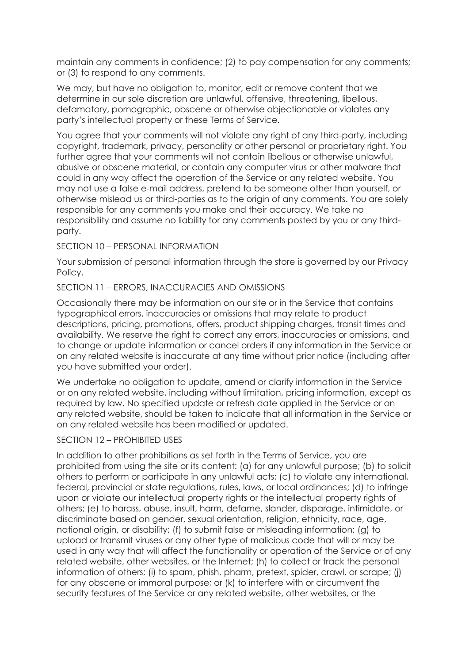maintain any comments in confidence; (2) to pay compensation for any comments; or (3) to respond to any comments.

We may, but have no obligation to, monitor, edit or remove content that we determine in our sole discretion are unlawful, offensive, threatening, libellous, defamatory, pornographic, obscene or otherwise objectionable or violates any party's intellectual property or these Terms of Service.

You agree that your comments will not violate any right of any third-party, including copyright, trademark, privacy, personality or other personal or proprietary right. You further agree that your comments will not contain libellous or otherwise unlawful, abusive or obscene material, or contain any computer virus or other malware that could in any way affect the operation of the Service or any related website. You may not use a false e-mail address, pretend to be someone other than yourself, or otherwise mislead us or third-parties as to the origin of any comments. You are solely responsible for any comments you make and their accuracy. We take no responsibility and assume no liability for any comments posted by you or any thirdparty.

### SECTION 10 – PERSONAL INFORMATION

Your submission of personal information through the store is governed by our Privacy Policy.

# SECTION 11 – ERRORS, INACCURACIES AND OMISSIONS

Occasionally there may be information on our site or in the Service that contains typographical errors, inaccuracies or omissions that may relate to product descriptions, pricing, promotions, offers, product shipping charges, transit times and availability. We reserve the right to correct any errors, inaccuracies or omissions, and to change or update information or cancel orders if any information in the Service or on any related website is inaccurate at any time without prior notice (including after you have submitted your order).

We undertake no obligation to update, amend or clarify information in the Service or on any related website, including without limitation, pricing information, except as required by law. No specified update or refresh date applied in the Service or on any related website, should be taken to indicate that all information in the Service or on any related website has been modified or updated.

# SECTION 12 – PROHIBITED USES

In addition to other prohibitions as set forth in the Terms of Service, you are prohibited from using the site or its content: (a) for any unlawful purpose; (b) to solicit others to perform or participate in any unlawful acts; (c) to violate any international, federal, provincial or state regulations, rules, laws, or local ordinances; (d) to infringe upon or violate our intellectual property rights or the intellectual property rights of others; (e) to harass, abuse, insult, harm, defame, slander, disparage, intimidate, or discriminate based on gender, sexual orientation, religion, ethnicity, race, age, national origin, or disability; (f) to submit false or misleading information; (g) to upload or transmit viruses or any other type of malicious code that will or may be used in any way that will affect the functionality or operation of the Service or of any related website, other websites, or the Internet; (h) to collect or track the personal information of others; (i) to spam, phish, pharm, pretext, spider, crawl, or scrape; (j) for any obscene or immoral purpose; or (k) to interfere with or circumvent the security features of the Service or any related website, other websites, or the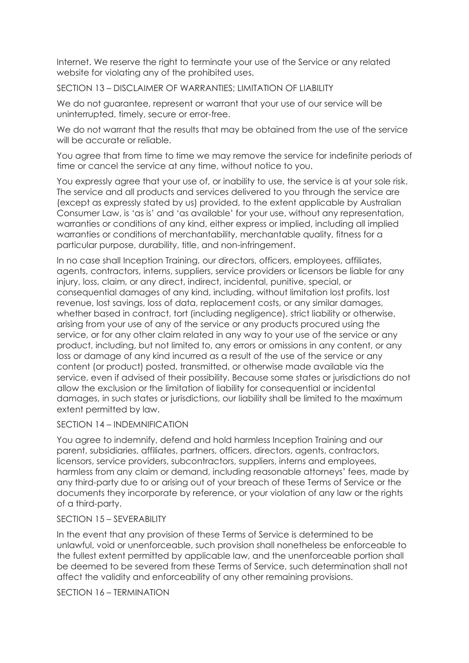Internet. We reserve the right to terminate your use of the Service or any related website for violating any of the prohibited uses.

SECTION 13 – DISCLAIMER OF WARRANTIES; LIMITATION OF LIABILITY

We do not guarantee, represent or warrant that your use of our service will be uninterrupted, timely, secure or error-free.

We do not warrant that the results that may be obtained from the use of the service will be accurate or reliable.

You agree that from time to time we may remove the service for indefinite periods of time or cancel the service at any time, without notice to you.

You expressly agree that your use of, or inability to use, the service is at your sole risk. The service and all products and services delivered to you through the service are (except as expressly stated by us) provided, to the extent applicable by Australian Consumer Law, is 'as is' and 'as available' for your use, without any representation, warranties or conditions of any kind, either express or implied, including all implied warranties or conditions of merchantability, merchantable quality, fitness for a particular purpose, durability, title, and non-infringement.

In no case shall Inception Training, our directors, officers, employees, affiliates, agents, contractors, interns, suppliers, service providers or licensors be liable for any injury, loss, claim, or any direct, indirect, incidental, punitive, special, or consequential damages of any kind, including, without limitation lost profits, lost revenue, lost savings, loss of data, replacement costs, or any similar damages, whether based in contract, tort (including negligence), strict liability or otherwise, arising from your use of any of the service or any products procured using the service, or for any other claim related in any way to your use of the service or any product, including, but not limited to, any errors or omissions in any content, or any loss or damage of any kind incurred as a result of the use of the service or any content (or product) posted, transmitted, or otherwise made available via the service, even if advised of their possibility. Because some states or jurisdictions do not allow the exclusion or the limitation of liability for consequential or incidental damages, in such states or jurisdictions, our liability shall be limited to the maximum extent permitted by law.

### SECTION 14 – INDEMNIFICATION

You agree to indemnify, defend and hold harmless Inception Training and our parent, subsidiaries, affiliates, partners, officers, directors, agents, contractors, licensors, service providers, subcontractors, suppliers, interns and employees, harmless from any claim or demand, including reasonable attorneys' fees, made by any third-party due to or arising out of your breach of these Terms of Service or the documents they incorporate by reference, or your violation of any law or the rights of a third-party.

### SECTION 15 – SEVERABILITY

In the event that any provision of these Terms of Service is determined to be unlawful, void or unenforceable, such provision shall nonetheless be enforceable to the fullest extent permitted by applicable law, and the unenforceable portion shall be deemed to be severed from these Terms of Service, such determination shall not affect the validity and enforceability of any other remaining provisions.

SECTION 16 – TERMINATION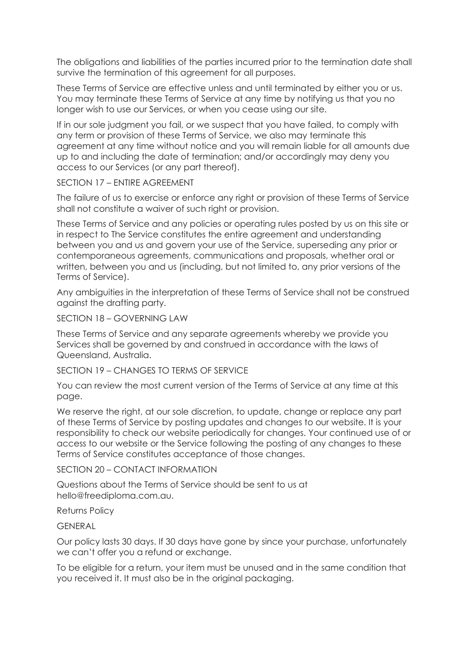The obligations and liabilities of the parties incurred prior to the termination date shall survive the termination of this agreement for all purposes.

These Terms of Service are effective unless and until terminated by either you or us. You may terminate these Terms of Service at any time by notifying us that you no longer wish to use our Services, or when you cease using our site.

If in our sole judgment you fail, or we suspect that you have failed, to comply with any term or provision of these Terms of Service, we also may terminate this agreement at any time without notice and you will remain liable for all amounts due up to and including the date of termination; and/or accordingly may deny you access to our Services (or any part thereof).

### SECTION 17 – ENTIRE AGREEMENT

The failure of us to exercise or enforce any right or provision of these Terms of Service shall not constitute a waiver of such right or provision.

These Terms of Service and any policies or operating rules posted by us on this site or in respect to The Service constitutes the entire agreement and understanding between you and us and govern your use of the Service, superseding any prior or contemporaneous agreements, communications and proposals, whether oral or written, between you and us (including, but not limited to, any prior versions of the Terms of Service).

Any ambiguities in the interpretation of these Terms of Service shall not be construed against the drafting party.

#### SECTION 18 – GOVERNING LAW

These Terms of Service and any separate agreements whereby we provide you Services shall be governed by and construed in accordance with the laws of Queensland, Australia.

### SECTION 19 – CHANGES TO TERMS OF SERVICE

You can review the most current version of the Terms of Service at any time at this page.

We reserve the right, at our sole discretion, to update, change or replace any part of these Terms of Service by posting updates and changes to our website. It is your responsibility to check our website periodically for changes. Your continued use of or access to our website or the Service following the posting of any changes to these Terms of Service constitutes acceptance of those changes.

# SECTION 20 – CONTACT INFORMATION

Questions about the Terms of Service should be sent to us at hello@freediploma.com.au.

### Returns Policy

**GENERAL** 

Our policy lasts 30 days. If 30 days have gone by since your purchase, unfortunately we can't offer you a refund or exchange.

To be eligible for a return, your item must be unused and in the same condition that you received it. It must also be in the original packaging.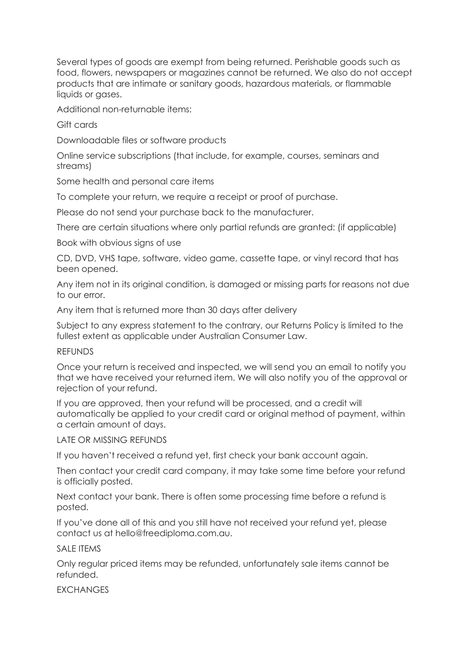Several types of goods are exempt from being returned. Perishable goods such as food, flowers, newspapers or magazines cannot be returned. We also do not accept products that are intimate or sanitary goods, hazardous materials, or flammable liquids or gases.

Additional non-returnable items:

Gift cards

Downloadable files or software products

Online service subscriptions (that include, for example, courses, seminars and streams)

Some health and personal care items

To complete your return, we require a receipt or proof of purchase.

Please do not send your purchase back to the manufacturer.

There are certain situations where only partial refunds are granted: (if applicable)

Book with obvious signs of use

CD, DVD, VHS tape, software, video game, cassette tape, or vinyl record that has been opened.

Any item not in its original condition, is damaged or missing parts for reasons not due to our error.

Any item that is returned more than 30 days after delivery

Subject to any express statement to the contrary, our Returns Policy is limited to the fullest extent as applicable under Australian Consumer Law.

### REFUNDS

Once your return is received and inspected, we will send you an email to notify you that we have received your returned item. We will also notify you of the approval or rejection of your refund.

If you are approved, then your refund will be processed, and a credit will automatically be applied to your credit card or original method of payment, within a certain amount of days.

LATE OR MISSING REFUNDS

If you haven't received a refund yet, first check your bank account again.

Then contact your credit card company, it may take some time before your refund is officially posted.

Next contact your bank. There is often some processing time before a refund is posted.

If you've done all of this and you still have not received your refund yet, please contact us at hello@freediploma.com.au.

### SALE ITEMS

Only regular priced items may be refunded, unfortunately sale items cannot be refunded.

# *EXCHANGES*